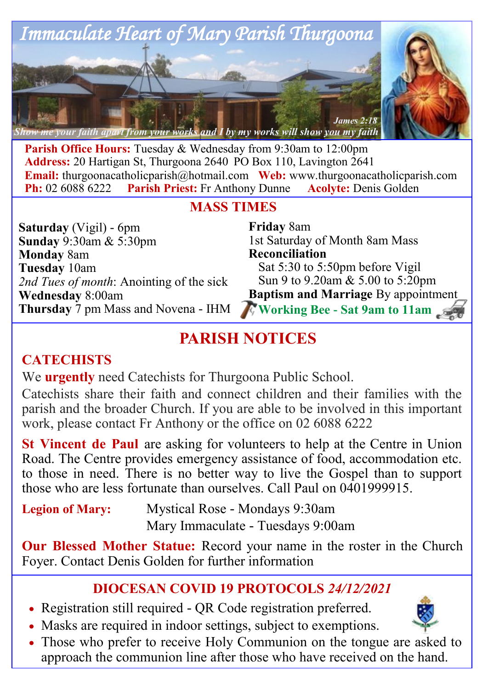

**Parish Office Hours:** Tuesday & Wednesday from 9:30am to 12:00pm **Address:** 20 Hartigan St, Thurgoona 2640 PO Box 110, Lavington 2641 **Email:** thurgoonacatholicparish@hotmail.com Web: www.thurgoonacatholicparish.com<br> **Ph:** 02 6088 6222 Parish Priest: Fr Anthony Dunne Acolyte: Denis Golden **Parish Priest:** Fr Anthony Dunne **Acolyte:** Denis Golden

## **MASS TIMES**

**Saturday** (Vigil) - 6pm **Sunday** 9:30am & 5:30pm **Monday** 8am **Tuesday** 10am *2nd Tues of month*: Anointing of the sick **Wednesday** 8:00am **Thursday** 7 pm Mass and Novena - IHM

**Friday** 8am 1st Saturday of Month 8am Mass **Reconciliation**  Sat 5:30 to 5:50pm before Vigil Sun 9 to 9.20am & 5.00 to 5:20pm **Baptism and Marriage** By appointment  **Working Bee - Sat 9am to 11am**

# **PARISH NOTICES**

## **CATECHISTS**

We **urgently** need Catechists for Thurgoona Public School.

Catechists share their faith and connect children and their families with the parish and the broader Church. If you are able to be involved in this important work, please contact Fr Anthony or the office on 02 6088 6222

**St Vincent de Paul** are asking for volunteers to help at the Centre in Union Road. The Centre provides emergency assistance of food, accommodation etc. to those in need. There is no better way to live the Gospel than to support those who are less fortunate than ourselves. Call Paul on  $0401999915$ .

| <b>Legion of Mary:</b> | Mystical Rose - Mondays 9:30am    |
|------------------------|-----------------------------------|
|                        | Mary Immaculate - Tuesdays 9:00am |

**Our Blessed Mother Statue:** Record your name in the roster in the Church Foyer. Contact Denis Golden for further information

## **DIOCESAN COVID 19 PROTOCOLS** *24/12/2021*

- Registration still required QR Code registration preferred.
- Masks are required in indoor settings, subject to exemptions.
- 
- Those who prefer to receive Holy Communion on the tongue are asked to approach the communion line after those who have received on the hand.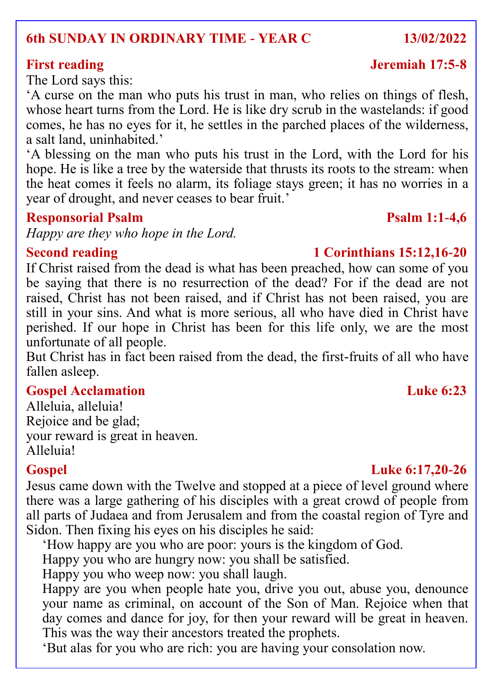### **6th SUNDAY IN ORDINARY TIME - YEAR C 13/02/2022**

The Lord says this:

'A curse on the man who puts his trust in man, who relies on things of flesh, whose heart turns from the Lord. He is like dry scrub in the wastelands: if good comes, he has no eyes for it, he settles in the parched places of the wilderness, a salt land, uninhabited.'

'A blessing on the man who puts his trust in the Lord, with the Lord for his hope. He is like a tree by the waterside that thrusts its roots to the stream: when the heat comes it feels no alarm, its foliage stays green; it has no worries in a year of drought, and never ceases to bear fruit.'

### **Responsorial Psalm Psalm Psalm Psalm** 1:1-4.6

*Happy are they who hope in the Lord.*

### **Second reading 1 Corinthians 15:12,16-20**

If Christ raised from the dead is what has been preached, how can some of you be saying that there is no resurrection of the dead? For if the dead are not raised, Christ has not been raised, and if Christ has not been raised, you are still in your sins. And what is more serious, all who have died in Christ have perished. If our hope in Christ has been for this life only, we are the most unfortunate of all people.

But Christ has in fact been raised from the dead, the first-fruits of all who have fallen asleep.

## **Gospel Acclamation Luke 6:23**

Alleluia, alleluia! Rejoice and be glad; your reward is great in heaven. Alleluia!

Jesus came down with the Twelve and stopped at a piece of level ground where there was a large gathering of his disciples with a great crowd of people from all parts of Judaea and from Jerusalem and from the coastal region of Tyre and Sidon. Then fixing his eyes on his disciples he said:

'How happy are you who are poor: yours is the kingdom of God.

Happy you who are hungry now: you shall be satisfied.

Happy you who weep now: you shall laugh.

Happy are you when people hate you, drive you out, abuse you, denounce your name as criminal, on account of the Son of Man. Rejoice when that day comes and dance for joy, for then your reward will be great in heaven. This was the way their ancestors treated the prophets.

'But alas for you who are rich: you are having your consolation now.

## **Gospel Luke 6:17,20-26**

## **First reading Jeremiah 17:5-8**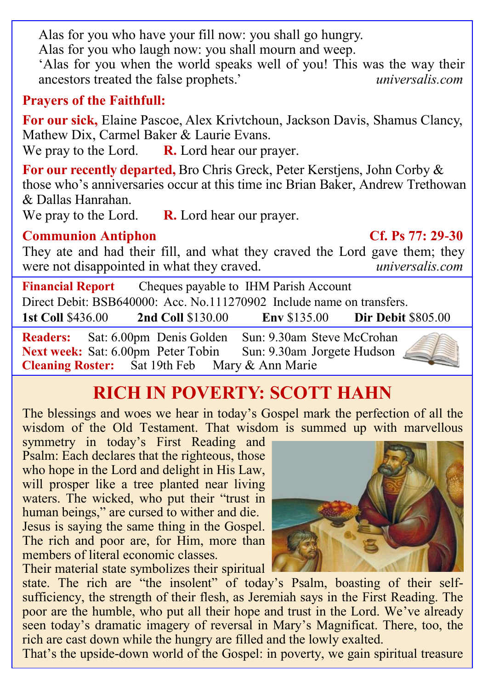Alas for you who have your fill now: you shall go hungry.

Alas for you who laugh now: you shall mourn and weep.

'Alas for you when the world speaks well of you! This was the way their ancestors treated the false prophets.' ancestors treated the false prophets.'

## **Prayers of the Faithfull:**

**For our sick,** Elaine Pascoe, Alex Krivtchoun, Jackson Davis, Shamus Clancy, Mathew Dix, Carmel Baker & Laurie Evans.

We pray to the Lord. **R.** Lord hear our prayer.

**For our recently departed,** Bro Chris Greck, Peter Kerstjens, John Corby & those who's anniversaries occur at this time inc Brian Baker, Andrew Trethowan & Dallas Hanrahan.

We pray to the Lord. **R.** Lord hear our prayer.

## **Communion Antiphon Cf. Ps 77: 29-30**

They ate and had their fill, and what they craved the Lord gave them; they were not disappointed in what they craved. *universalis.com*

**Financial Report** Cheques payable to IHM Parish Account Direct Debit: BSB640000: Acc. No.111270902 Include name on transfers. **1st Coll** \$436.00 **2nd Coll** \$130.00 **Env** \$135.00 **Dir Debit** \$805.00

**Readers:** Sat: 6.00pm Denis Golden Sun: 9.30am Steve McCrohan<br>**Next week:** Sat: 6.00pm Peter Tobin Sun: 9.30am Jorgete Hudson **Next week:** Sat: 6.00pm Peter Tobin **Cleaning Roster:** Sat 19th Feb Mary & Ann Marie



# **RICH IN POVERTY: SCOTT HAHN**

The blessings and woes we hear in today's Gospel mark the perfection of all the wisdom of the Old Testament. That wisdom is summed up with marvellous

symmetry in today's First Reading and Psalm: Each declares that the righteous, those who hope in the Lord and delight in His Law, will prosper like a tree planted near living waters. The wicked, who put their "trust in human beings," are cursed to wither and die. Jesus is saying the same thing in the Gospel. The rich and poor are, for Him, more than members of literal economic classes.

Their material state symbolizes their spiritual

state. The rich are "the insolent" of today's Psalm, boasting of their selfsufficiency, the strength of their flesh, as Jeremiah says in the First Reading. The poor are the humble, who put all their hope and trust in the Lord. We've already seen today's dramatic imagery of reversal in Mary's Magnificat. There, too, the rich are cast down while the hungry are filled and the lowly exalted.

That's the upside-down world of the Gospel: in poverty, we gain spiritual treasure